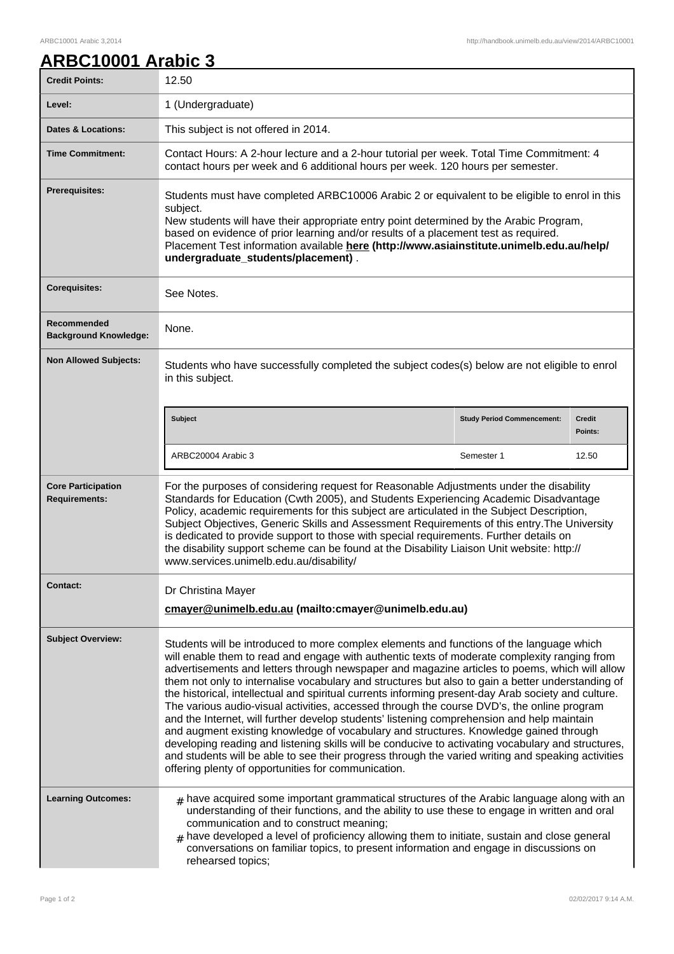## **ARBC10001 Arabic 3**

| <b>Credit Points:</b>                             | 12.50                                                                                                                                                                                                                                                                                                                                                                                                                                                                                                                                                                                                                                                                                                                                                                                                                                                                                                                                                                                                                                                         |                                   |                          |
|---------------------------------------------------|---------------------------------------------------------------------------------------------------------------------------------------------------------------------------------------------------------------------------------------------------------------------------------------------------------------------------------------------------------------------------------------------------------------------------------------------------------------------------------------------------------------------------------------------------------------------------------------------------------------------------------------------------------------------------------------------------------------------------------------------------------------------------------------------------------------------------------------------------------------------------------------------------------------------------------------------------------------------------------------------------------------------------------------------------------------|-----------------------------------|--------------------------|
| Level:                                            | 1 (Undergraduate)                                                                                                                                                                                                                                                                                                                                                                                                                                                                                                                                                                                                                                                                                                                                                                                                                                                                                                                                                                                                                                             |                                   |                          |
| <b>Dates &amp; Locations:</b>                     | This subject is not offered in 2014.                                                                                                                                                                                                                                                                                                                                                                                                                                                                                                                                                                                                                                                                                                                                                                                                                                                                                                                                                                                                                          |                                   |                          |
| <b>Time Commitment:</b>                           | Contact Hours: A 2-hour lecture and a 2-hour tutorial per week. Total Time Commitment: 4<br>contact hours per week and 6 additional hours per week. 120 hours per semester.                                                                                                                                                                                                                                                                                                                                                                                                                                                                                                                                                                                                                                                                                                                                                                                                                                                                                   |                                   |                          |
| <b>Prerequisites:</b>                             | Students must have completed ARBC10006 Arabic 2 or equivalent to be eligible to enrol in this<br>subject.<br>New students will have their appropriate entry point determined by the Arabic Program,<br>based on evidence of prior learning and/or results of a placement test as required.<br>Placement Test information available here (http://www.asiainstitute.unimelb.edu.au/help/<br>undergraduate_students/placement).                                                                                                                                                                                                                                                                                                                                                                                                                                                                                                                                                                                                                                  |                                   |                          |
| <b>Corequisites:</b>                              | See Notes.                                                                                                                                                                                                                                                                                                                                                                                                                                                                                                                                                                                                                                                                                                                                                                                                                                                                                                                                                                                                                                                    |                                   |                          |
| Recommended<br><b>Background Knowledge:</b>       | None.                                                                                                                                                                                                                                                                                                                                                                                                                                                                                                                                                                                                                                                                                                                                                                                                                                                                                                                                                                                                                                                         |                                   |                          |
| <b>Non Allowed Subjects:</b>                      | Students who have successfully completed the subject codes(s) below are not eligible to enrol<br>in this subject.                                                                                                                                                                                                                                                                                                                                                                                                                                                                                                                                                                                                                                                                                                                                                                                                                                                                                                                                             |                                   |                          |
|                                                   | <b>Subject</b>                                                                                                                                                                                                                                                                                                                                                                                                                                                                                                                                                                                                                                                                                                                                                                                                                                                                                                                                                                                                                                                | <b>Study Period Commencement:</b> | <b>Credit</b><br>Points: |
|                                                   | ARBC20004 Arabic 3                                                                                                                                                                                                                                                                                                                                                                                                                                                                                                                                                                                                                                                                                                                                                                                                                                                                                                                                                                                                                                            | Semester 1                        | 12.50                    |
| <b>Core Participation</b><br><b>Requirements:</b> | For the purposes of considering request for Reasonable Adjustments under the disability<br>Standards for Education (Cwth 2005), and Students Experiencing Academic Disadvantage<br>Policy, academic requirements for this subject are articulated in the Subject Description,<br>Subject Objectives, Generic Skills and Assessment Requirements of this entry. The University<br>is dedicated to provide support to those with special requirements. Further details on<br>the disability support scheme can be found at the Disability Liaison Unit website: http://<br>www.services.unimelb.edu.au/disability/                                                                                                                                                                                                                                                                                                                                                                                                                                              |                                   |                          |
| <b>Contact:</b>                                   | Dr Christina Mayer<br>cmayer@unimelb.edu.au (mailto:cmayer@unimelb.edu.au)                                                                                                                                                                                                                                                                                                                                                                                                                                                                                                                                                                                                                                                                                                                                                                                                                                                                                                                                                                                    |                                   |                          |
| <b>Subject Overview:</b>                          | Students will be introduced to more complex elements and functions of the language which<br>will enable them to read and engage with authentic texts of moderate complexity ranging from<br>advertisements and letters through newspaper and magazine articles to poems, which will allow<br>them not only to internalise vocabulary and structures but also to gain a better understanding of<br>the historical, intellectual and spiritual currents informing present-day Arab society and culture.<br>The various audio-visual activities, accessed through the course DVD's, the online program<br>and the Internet, will further develop students' listening comprehension and help maintain<br>and augment existing knowledge of vocabulary and structures. Knowledge gained through<br>developing reading and listening skills will be conducive to activating vocabulary and structures,<br>and students will be able to see their progress through the varied writing and speaking activities<br>offering plenty of opportunities for communication. |                                   |                          |
| <b>Learning Outcomes:</b>                         | $#$ have acquired some important grammatical structures of the Arabic language along with an<br>understanding of their functions, and the ability to use these to engage in written and oral<br>communication and to construct meaning;<br>have developed a level of proficiency allowing them to initiate, sustain and close general<br>#<br>conversations on familiar topics, to present information and engage in discussions on<br>rehearsed topics;                                                                                                                                                                                                                                                                                                                                                                                                                                                                                                                                                                                                      |                                   |                          |